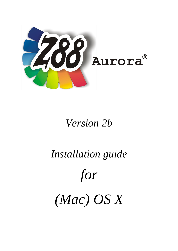

# *Version 2b*

*Installation guide*

# *for*

*(Mac) OS X*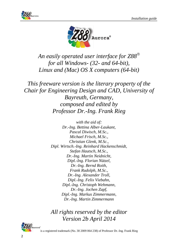



*An easily operated user interface for Z88 for all Windows- (32- and 64-bit), Linux and (Mac) OS X computers (64-bit)*

*This freeware version is the literary property of the Chair for Engineering Design and CAD, University of Bayreuth, Germany, composed and edited by Professor Dr.-Ing. Frank Rieg*

> *with the aid of: Dr.-Ing. Bettina Alber-Laukant, Pascal Diwisch, M.Sc., Michael Frisch, M.Sc., Christian Glenk, M.Sc., Dipl. Wirtsch.-Ing. Reinhard Hackenschmidt, Stefan Hautsch, M.Sc., Dr.-Ing. Martin Neidnicht, Dipl.-Ing. Florian Nützel, Dr.-Ing. Bernd Roith, Frank Rudolph, M.Sc., Dr.-Ing. Alexander Troll, Dipl.-Ing. Felix Viebahn, Dipl.-Ing. Christoph Wehmann, Dr.-Ing. Jochen Zapf, Dipl.-Ing. Markus Zimmermann, Dr.-Ing. Martin Zimmermann*

*All rights reserved by the editor Version 2b April 2014*

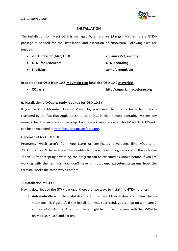

#### **INSTALLATION**

The installation for (Mac) OS X is managed by an archive (.tar.gz). Furthermore a GTK+ package is needed for the installation and execution of Z88Aurora. Following files are needed:

- **Z88Aurora for (Mac) OS X Z88auroraV2\_en.dmg**
- **GTK+ for Z88Aurora GTK+4Z88.dmg**
- 

**Flip4Mac .wmv-Videoplayer**

**In addition for OS X from 10.8 Mountain Lion (and also OS X 10.9 Mavericks):**

**XQuartz http://xquartz.macosforge.org**

#### **0. Installation of XQuartz (only required for OS X 10.8+)**

If you use OS X Mountain Lion or Mavericks, you'll need to install XQuartz first. This is reasoned by the fact that Apple doesn't include X11 in their newest operating systems any more. XQuartz is an open-source project and it is a X window system for (Mac) OS X. XQuartz can be downloaded at [http://xquartz.macosforge.org.](http://xquartz.macosforge.org/)

#### General hint for OS X 10.8+:

Programs, which aren't from App Store or certificated developers (like XQuartz or Z88Aurora), can't be executed by double-click. You have to right-click and then choose "open". After accepting a warning, the program can be executed as known before. If you are working with the terminal, you don't have this problem: executing programs from the terminal works the same way as before.

#### **1. Installation of GTK+**

Having downloaded the GTK+-package, there are two ways to install the GTK+-libraries:

(a) **Automatically** with the Install-App: open the file GTK+4Z88.dmg and follow the instructions (cf. Figure 1). If the installation was successful, you can go on with step 2 and install Z88Aurora. Attention: There might be display problems with the DMG-file on Mac OS X 10.6 and earlier.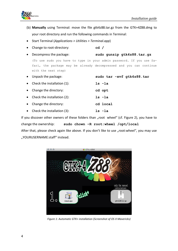

- (b) **Manually** using Terminal: move the file gtk4z88.tar.gz from the GTK+4Z88.dmg to your root directory and run the following commands in Terminal:
- Start Terminal (*Applications > Utilities > Terminal.app*)
- Change to root-directory: **cd /**
- Decompress the package: **sudo gunzip gtk4z88.tar.gz**

(To use sudo you have to type in your admin password. If you use Safari, the package may be already decompressed and you can continue with the next step)

|           | • Unpack the package:       | sudo tar -xvf qtk4z88.tar |
|-----------|-----------------------------|---------------------------|
| $\bullet$ | Check the installation (1): | ls -la                    |
| $\bullet$ | Change the directory:       | cd opt                    |
| $\bullet$ | Check the installation (2): | ls -la                    |
|           | Change the directory:       | cd local                  |
|           | Check the installation (3): | ls -la                    |
|           |                             |                           |

If you discover other owners of these folders than "root wheel" (cf. Figure 2), you have to change the ownership: **sudo chown –R root:wheel /opt/local** After that, please check again like above. If you don't like to use "root:wheel", you may use

"YOURUSERNAME:staff" instead.



*Figure 1: Automatic GTK+ installation (Screenshot of OS X Mavericks)*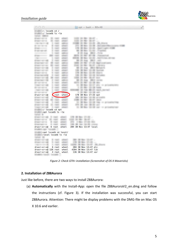

| 000                                                                  | $\Box$ opt — bash — 88×48                                                    | F. |
|----------------------------------------------------------------------|------------------------------------------------------------------------------|----|
| $\sim$ lscad\$ cd /                                                  |                                                                              |    |
| $\frac{1}{2}$ :/ lscad\$ ls -la                                      |                                                                              |    |
| <b>TARTAST DIMENSION</b>                                             |                                                                              |    |
| division sales as<br>the capacity submanity                          | counts are many statuted in                                                  |    |
| <b>Bridden start of</b><br>the county company.                       | THE R RD WAY                                                                 |    |
| concerned 1 met added<br>E-re-re-re E-rent sheets                    | FORM 25 May 13-25. JRL Frank<br>272 W. No., Cl. St., Anicator/Necocatra 4140 |    |
| diversion in the state about                                         | 178 St Str. St dk - Sprintspin middle                                        |    |
| E-service set - 2 most senato.                                       | 400 SR Way 12-332 - Crayman                                                  |    |
| <b>Johnson Committee</b><br>2. CALL - MARCH -                        | 2 20 Aug 2011 - 7:10                                                         |    |
| drive-control 2002 rooms about                                       | MOS 25 Nov 45-58 - Flavarous                                                 |    |
| 1 real and the<br><b>COMPANY CONTROL</b>                             | <b>BEEN IN Not COVE JUNITIAN ROOM</b>                                        |    |
| 2 room security<br><b>EVERY ART USE</b>                              | 99 25 Aug. 2811                                                              |    |
| Engineerings all cash advice                                         | SMM 24 Well 17-28 Wall-contraints                                            |    |
| division controllers.<br>an case areas.                              | FOR 20 May 28:37 Library                                                     |    |
| <b>Breath and Call 1</b><br>I can also<br>diversionals in the second | 40 IS No. 2012 Milano<br>130 M Bit 10-29 Sprint                              |    |
| division service.<br>5 cars, agent                                   | 1780 SR Way 121-492 Streets                                                  |    |
| Engineering it can all                                               | 128 IS Not 12-18 Nichols                                                     |    |
| Street-territory and<br>county, services.                            | LOOK OF MAIN GROUP AND                                                       |    |
| Engineering 2 cars advis-                                            | MF 25 Nog 19813 corner                                                       |    |
| discussion and the<br>21 YEAR - ARTSHET                              | MITS 28 MAY 12-18 ANY                                                        |    |
| Treatment with 1 month affords                                       | 11. IB Box 53-57 any via providences                                         |    |
| <b>BUSINESS</b>                                                      | attends.<br>1. 25 Well 12-18 tons                                            |    |
| COMPOSITION AND<br>case and                                          | WE 18 FAX MELTI NATA, ANTIATI                                                |    |
| <b>BY ART ART ART</b><br>root wheel                                  | 3. 20 Well 22-28 HW-                                                         |    |
| drwxr-xr-x@<br><b>EVERY ART ARE:</b>                                 | 170 30 Nov 17:33 opt<br>the se was to be account.                            |    |
| EVER AT ART ART WANT                                                 | THE 22 Har St. P. LEWIS                                                      |    |
| THE R. P. LEWIS CO., LANSING MICH.<br>to control and provided        | 11 M No. 10 St Via - arcontaction                                            |    |
| director services to reach services                                  | are as me them are                                                           |    |
| Tomator state state<br>It cannot amaze.                              | 11. Mr Nov. 12. 18. say, 11. prosenancer                                     |    |
| :/ lscad\$ cd opt                                                    |                                                                              |    |
| opt lscad\$ ls -la                                                   |                                                                              |    |
| current at                                                           |                                                                              |    |
| direct service in case about                                         |                                                                              |    |
|                                                                      | 1790 We Many 177-202- -                                                      |    |
|                                                                      | dispersion in rest, about 1122 in the line or                                |    |
|                                                                      | ATTL: 3 Mars 171-222 Mills                                                   |    |
| Programming & cash should                                            | THE R. P. LEWIS CO., LANSING MICH.<br>204 30 Nov 13:47 local                 |    |
| cape 1.<br>THE                                                       |                                                                              |    |
| Engineering E-rept about<br>drwxr-xr-x@ 6 root wheel                 |                                                                              |    |
| :opt lscad\$ cd local/                                               |                                                                              |    |
| Service 1980                                                         |                                                                              |    |
| ESECURIVE E SE ANNO                                                  | <b>SMO OR May 121-87 --</b>                                                  |    |
| local lscad\$ ls -la<br>Engineering 3 cast, start-                   | THE READER STUDIES LA                                                        |    |
| 49 11 1997 1                                                         | 1 W No. 13.07 - 20. 20.p.n.<br><b>SERVICE</b>                                |    |
| 6 root wheel<br>drwxr-xr-x@                                          | 204 30 Nov 13:47 etc                                                         |    |
| drwxr-xr-x@ 126 root wheel<br>drwxr-xr-x@<br>4 root wheel            | 4284 30 Nov 13:47 lib<br>136 30 Nov 13:47 var                                |    |

*Figure 2: Check GTK+ installation (Screenshot of OS X Mavericks)*

#### **2. Installation of Z88Aurora**

Just like before, there are two ways to install Z88Aurora:

(a) **Automatically** with the Install-App: open the file Z88AuroraV2\_en.dmg and follow the instructions (cf. Figure 3). If the installation was successful, you can start Z88Aurora. Attention: There might be display problems with the DMG-file on Mac OS X 10.6 and earlier.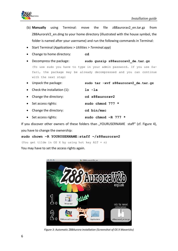

- (b) **Manually** using Terminal: move the file z88aurorav2\_en.tar.gz from Z88AuroraV2 en.dmg to your home directory (illustrated with the house symbol, the folder is named after your username) and run the following commands in Terminal:
- Start Terminal (*Applications > Utilities > Terminal.app*)
- Change to home directory: **cd**
- Decompress the package: **sudo gunzip z88aurorav2\_de.tar.gz** (To use sudo you have to type in your admin password. If you use Safari, the package may be already decompressed and you can continue with the next step)
- Unpack the package: **sudo tar -xvf z88aurorav2\_de.tar.gz**
- Check the installation (1): **ls -la**
- Change the directory: **cd z88aurorav2** Set access rights: **sudo chmod 777 \*** Change the directory: **cd bin/mac**
- Set access rights: **sudo chmod –R 777 \***

If you discover other owners of these folders than "YOURUSERNAME staff" (cf. Figure 4), you have to change the ownership:

#### **sudo chown –R YOURUSERNAME:staff ~/z88aurorav2**

(You get tilde in OS X by using hot key ALT + n)

You may have to set the access rights again.



*Figure 3: Automatic Z88Aurora installation (Screenshot of OS X Mavericks)*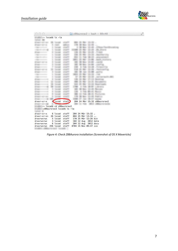

| 000                      |                     |                             |  |                                               | $z88$ aurorav $2 -$ bash $-88\times48$ | ie <sup>21</sup> |
|--------------------------|---------------------|-----------------------------|--|-----------------------------------------------|----------------------------------------|------------------|
|                          | :~ lscad\$ ls -la   |                             |  |                                               |                                        |                  |
|                          |                     |                             |  |                                               |                                        |                  |
|                          |                     |                             |  |                                               |                                        |                  |
|                          |                     |                             |  |                                               |                                        |                  |
|                          |                     |                             |  |                                               |                                        |                  |
|                          |                     |                             |  |                                               |                                        |                  |
|                          |                     |                             |  |                                               |                                        |                  |
|                          |                     |                             |  |                                               |                                        |                  |
|                          |                     |                             |  |                                               |                                        |                  |
|                          |                     |                             |  |                                               |                                        |                  |
|                          |                     |                             |  |                                               |                                        |                  |
|                          |                     |                             |  |                                               |                                        |                  |
|                          |                     |                             |  |                                               |                                        |                  |
|                          |                     |                             |  |                                               |                                        |                  |
|                          |                     |                             |  |                                               |                                        |                  |
|                          |                     |                             |  |                                               |                                        |                  |
|                          |                     |                             |  |                                               |                                        |                  |
|                          |                     |                             |  |                                               |                                        |                  |
|                          |                     |                             |  |                                               |                                        |                  |
|                          |                     |                             |  |                                               |                                        |                  |
|                          |                     |                             |  |                                               |                                        |                  |
|                          |                     |                             |  |                                               |                                        |                  |
|                          |                     |                             |  |                                               |                                        |                  |
|                          |                     |                             |  |                                               |                                        |                  |
|                          |                     |                             |  |                                               |                                        |                  |
|                          |                     |                             |  |                                               |                                        |                  |
| $drwxr-xr-x$             | <b>f</b> lscad      | staff)                      |  |                                               | 204 24 Mär 15:32 z88aurorav2           |                  |
|                          |                     | :~ lscad\$ cd z88aurorav2   |  |                                               |                                        |                  |
|                          |                     |                             |  |                                               |                                        |                  |
|                          |                     | :z88aurorav2 lscad\$ ls -la |  |                                               |                                        |                  |
|                          |                     | staff                       |  | 204 24 Mär 15:32.                             |                                        |                  |
| $drwxr-xr-x$             | 6 lscad<br>26 lscad | staff                       |  | 884 25 Mär 13:33                              |                                        |                  |
| $drwxr-xr-x+$            |                     |                             |  |                                               |                                        |                  |
| drwxrwxrwx               | 5 lscad             | staff                       |  | 170 25 Mär 12:26 bin                          |                                        |                  |
| drwxrwxrwx               | 3 lscad             | staff                       |  | 102 12 Aug 2012 data                          |                                        |                  |
| drwxrwxrwx<br>drwxrwxrwx | 6 lscad             | staff                       |  | 204 12 Aug 2012 docu<br>8704 15 Nov 09:47 ico |                                        |                  |
|                          | 256 lscad           | staff                       |  |                                               |                                        |                  |

*Figure 4: Check Z88Aurora installation (Screenshot of OS X Mavericks)*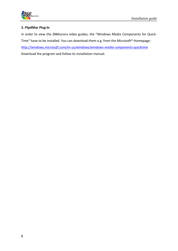

#### **3. Flip4Mac Plug-In**

In order to view the Z88Aurora video guides, the "Windows Media Components for Quick-Time" have to be installed. You can download them e.g. from the Microsoft®-Homepage: *<http://windows.microsoft.com/en-us/windows/windows-media-components-quicktime>* Download the program and follow its installation manual.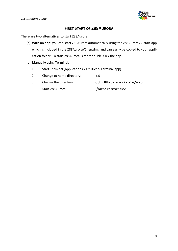

## **FIRST START OF Z88AURORA**

There are two alternatives to start Z88Aurora:

- (a) **With an app**: you can start Z88Aurora automatically using the Z88AuroraV2-start.app which is included in the Z88AuroraV2\_en.dmg and can easily be copied to your application folder. To start Z88Aurora, simply double-click the app.
- (b) **Manually** using Terminal:
	- 1. Start Terminal (Applications > Utilities > Terminal.app)
	- 2. Change to home directory: **cd**
	- 3. Change the directory: **cd z88aurorav2/bin/mac**.
	- 3. Start Z88Aurora: **./aurorastartv2**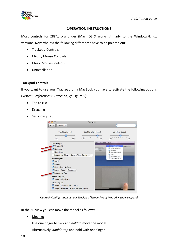

### **OPERATION INSTRUCTIONS**

Most controls for Z88Aurora under (Mac) OS X works similarly to the Windows/Linux versions. Nevertheless the following differences have to be pointed out:

- Trackpad-Controls
- Mighty Mouse Controls
- Magic Mouse Controls
- Uninstallation

#### **Trackpad-controls**

If you want to use your Trackpad on a MacBook you have to activate the following options (*System Preferences > Trackpad; cf.* Figure 5):

- Tap to click
- Dragging
- Secondary Tap



*Figure 5: Configuration of your Trackpad (Screenshot of Mac OS X Snow Leopard)*

In the 3D view you can move the model as follows:

• Moving:

Use one finger to *click* and *hold* to move the model Alternatively: *double-tap* and hold with one finger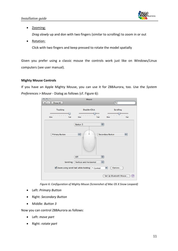

• Zooming:

*Drag slowly* up and don with two fingers (similar to scrolling) to zoom in or out

Rotation:

Click with two fingers and keep pressed to rotate the model spatially

Given you prefer using a classic mouse the controls work just like on Windows/Linux computers (see user manual).

#### **Mighty Mouse Controls**

If you have an Apple Mighty Mouse, you can use it for Z88Aurora, too. Use the *System Preferences > Mouse* - Dialog as follows (cf. Figure 6):



*Figure 6: Configuration of Mighty Mouse (Screenshot of Mac OS X Snow Leopard)*

- Left: *Primary Button*
- Right: *Secondary Button*
- Middle: *Button 3*

Now you can control Z88Aurora as follows:

- Left: *move part*
- Right: *rotate part*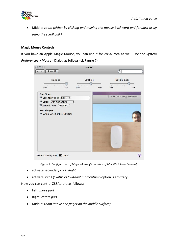

 Middle: z*oom (either by clicking and moving the mouse backward and forward or by using the scroll ball )*

#### **Magic Mouse Controls**

If you have an Apple Magic Mouse, you can use it for Z88Aurora as well. Use the *System Preferences > Mouse* - Dialog as follows (cf. Figure 7):

|                                        | Mouse                                                      |                                                       |
|----------------------------------------|------------------------------------------------------------|-------------------------------------------------------|
| Show All                               |                                                            | $\alpha$                                              |
| Tracking                               | Scrolling                                                  | Double-Click                                          |
| 1 1 1 2 3 4 5 6 7 8 9<br>Fast<br>Slow  | $\mathbf{1}$<br>$1 - 1$<br>$-1$<br>$\cdot$<br>Fast<br>Slow | 154 154 1 154 1<br>Slow<br>Fast                       |
| <b>One Finger</b>                      |                                                            |                                                       |
| Secondary click (Right<br>$\div$       |                                                            | $\boxed{=}$ On the summit jpg $\boxed{12}$ documents) |
| Scroll (with momentum<br>$\ddot{\ast}$ |                                                            |                                                       |
| Screen Zoom (Options                   |                                                            |                                                       |
| <b>Two Fingers</b>                     |                                                            |                                                       |
| Swipe Left/Right to Navigate           |                                                            |                                                       |
|                                        |                                                            |                                                       |
|                                        |                                                            |                                                       |
|                                        |                                                            |                                                       |
|                                        |                                                            |                                                       |
| Mouse battery level: @ 100%            |                                                            |                                                       |

*Figure 7: Configuration of Magic Mouse (Screenshot of Mac OS-X Snow Leopard)*

- activate secondary click: *Right*
- activate scroll ("*with"* or "*without momentum"*-option is arbitrary)

Now you can control Z88Aurora as follows:

- Left: *move part*
- Right: *rotate part*
- Middle: z*oom (move one finger on the middle surface)*